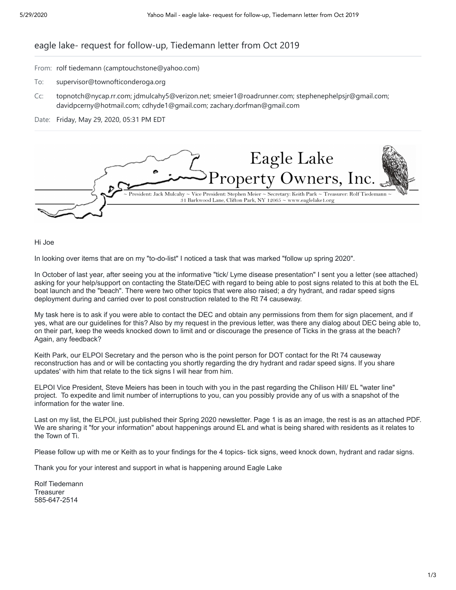## eagle lake- request for follow-up, Tiedemann letter from Oct 2019

- From: rolf tiedemann (camptouchstone@yahoo.com)
- To: supervisor@townofticonderoga.org
- Cc: topnotch@nycap.rr.com; jdmulcahy5@verizon.net; smeier1@roadrunner.com; stephenephelpsjr@gmail.com; davidpcerny@hotmail.com; cdhyde1@gmail.com; zachary.dorfman@gmail.com

### Date: Friday, May 29, 2020, 05:31 PM EDT



Hi Joe

In looking over items that are on my "to-do-list" I noticed a task that was marked "follow up spring 2020".

In October of last year, after seeing you at the informative "tick/ Lyme disease presentation" I sent you a letter (see attached) asking for your help/support on contacting the State/DEC with regard to being able to post signs related to this at both the EL boat launch and the "beach". There were two other topics that were also raised; a dry hydrant, and radar speed signs deployment during and carried over to post construction related to the Rt 74 causeway.

My task here is to ask if you were able to contact the DEC and obtain any permissions from them for sign placement, and if yes, what are our guidelines for this? Also by my request in the previous letter, was there any dialog about DEC being able to, on their part, keep the weeds knocked down to limit and or discourage the presence of Ticks in the grass at the beach? Again, any feedback?

Keith Park, our ELPOI Secretary and the person who is the point person for DOT contact for the Rt 74 causeway reconstruction has and or will be contacting you shortly regarding the dry hydrant and radar speed signs. If you share updates' with him that relate to the tick signs I will hear from him.

ELPOI Vice President, Steve Meiers has been in touch with you in the past regarding the Chilison Hill/ EL "water line" project. To expedite and limit number of interruptions to you, can you possibly provide any of us with a snapshot of the information for the water line.

Last on my list, the ELPOI, just published their Spring 2020 newsletter. Page 1 is as an image, the rest is as an attached PDF. We are sharing it "for your information" about happenings around EL and what is being shared with residents as it relates to the Town of Ti.

Please follow up with me or Keith as to your findings for the 4 topics- tick signs, weed knock down, hydrant and radar signs.

Thank you for your interest and support in what is happening around Eagle Lake

Rolf Tiedemann **Treasurer** 585-647-2514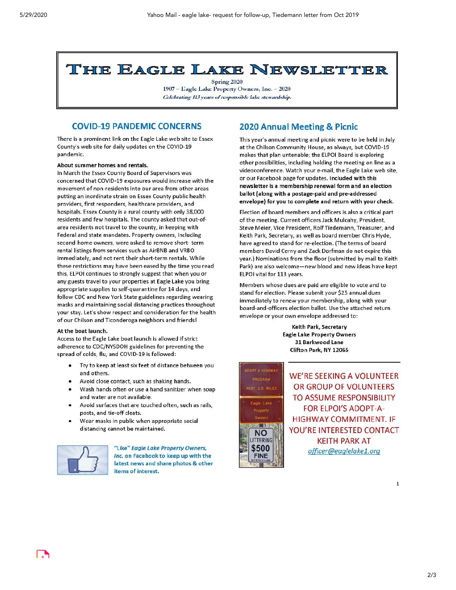# THE EAGLE LAKE NEWSLETTER

Spring 2020 1907 - Eagle Lake Property Owners, Inc. - 2020 Celebrating 113 years of responsible lake stewardship.

## **COVID-19 PANDEMIC CONCERNS**

There is a prominent link on the Eagle Lake web site to Essex County's web site for daily updates on the COVID-19 pandemic.

#### About summer homes and rentals.

In March the Essex County Board of Supervisors was concerned that COVID-19 exposures would increase with the movement of non-residents into our area from other areas putting an inordinate strain on Essex County public health providers, first responders, healthcare providers, and hospitals. Essex County is a rural county with only 38,000 residents and few hospitals. The county asked that out-ofarea residents not travel to the county, in keeping with Federal and state mandates. Property owners, including second-home owners, were asked to remove short-term rental listings from services such as AirBNB and VRBO immediately, and not rent their short-term rentals. While these restrictions may have been eased by the time you read this, ELPOI continues to strongly suggest that when you or any guests travel to your properties at Eagle Lake you bring appropriate supplies to self-quarantine for 14 days, and follow CDC and New York State guidelines regarding wearing masks and maintaining social distancing practices throughout your stay. Let's show respect and consideration for the health of our Chilson and Ticonderoga neighbors and friends!

#### At the boat launch.

Access to the Eagle Lake boat launch is allowed if strict adherence to CDC/NYSDOH guidelines for preventing the spread of colds, flu, and COVID-19 is followed:

- Try to keep at least six feet of distance between you ٠ and others.
- Avoid close contact, such as shaking hands.
- Wash hands often or use a hand sanitizer when soap and water are not available.
- Avoid surfaces that are touched often, such as rails, posts, and tie-off cleats.
- Wear masks in public when appropriate social distancing cannot be maintained.



"Like" Eagle Lake Property Owners, Inc. on Facebook to keep up with the latest news and share photos & other items of interest.

## 2020 Annual Meeting & Picnic

This year's annual meeting and picnic were to be held in July at the Chilson Community House, as always, but COVID-19 makes that plan untenable; the ELPOI Board is exploring other possibilities, including holding the meeting on line as a videoconference. Watch your e-mail, the Eagle Lake web site, or our Facebook page for updates. Included with this newsletter is a membership renewal form and an election ballot (along with a postage-paid and pre-addressed envelope) for you to complete and return with your check.

Election of board members and officers is also a critical part of the meeting. Current officers Jack Mulcahy, President, Steve Meier, Vice President, Rolf Tiedemann, Treasurer, and Keith Park, Secretary, as well as board member Chris Hyde, have agreed to stand for re-election. (The terms of board members David Cerny and Zack Dorfman do not expire this year.) Nominations from the floor (submitted by mail to Keith Park) are also welcome-new blood and new ideas have kept ELPOI vital for 113 years.

Members whose dues are paid are eligible to vote and to stand for election. Please submit your \$25 annual dues immediately to renew your membership, along with your board-and-officers election ballot. Use the attached return envelope or your own envelope addressed to:

> Keith Park, Secretary **Eagle Lake Property Owners** 31 Barkwood Lane Clifton Park, NY 12065



WE'RE SEEKING A VOLUNTEER OR GROUP OF VOLUNTEERS TO ASSUME RESPONSIBILITY **FOR ELPOI'S ADOPT-A-HIGHWAY COMMITMENT. IF** YOU'RE INTERESTED CONTACT **KEITH PARK AT** officer@eaglelake1.org

 $\mathbf 1$